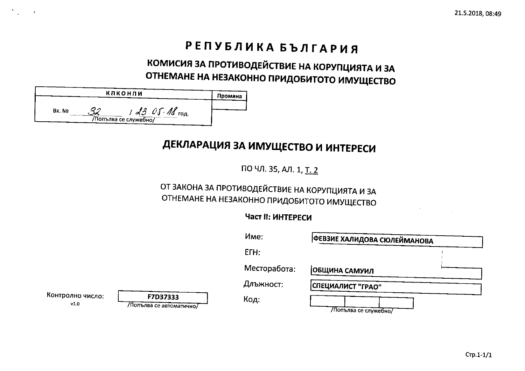# РЕПУБЛИКА БЪЛГАРИЯ

# КОМИСИЯ ЗА ПРОТИВОДЕЙСТВИЕ НА КОРУПЦИЯТА И ЗА ОТНЕМАНЕ НА НЕЗАКОННО ПРИДОБИТОТО ИМУЩЕСТВО

|        | <b>КЛКОНЛИ</b>                                 | Промяна |
|--------|------------------------------------------------|---------|
| Bx. No | $3.05 M_{\text{rod}}$<br>/Попълва се служебно/ |         |

# ДЕКЛАРАЦИЯ ЗА ИМУЩЕСТВО И ИНТЕРЕСИ

ПО ЧЛ. 35, АЛ. 1, Т. 2

## ОТ ЗАКОНА ЗА ПРОТИВОДЕЙСТВИЕ НА КОРУПЦИЯТА И ЗА ОТНЕМАНЕ НА НЕЗАКОННО ПРИДОБИТОТО ИМУЩЕСТВО

### **Част II: ИНТЕРЕСИ**

|                          |                                     | Mme:         | │ФЕВЗИЕ ХАЛИДОВА СЮЛЕЙМАНОВА |  |
|--------------------------|-------------------------------------|--------------|------------------------------|--|
|                          |                                     | ETH:         |                              |  |
|                          |                                     | Месторабота: | ОБЩИНА САМУИЛ                |  |
|                          |                                     | Длъжност:    | СПЕЦИАЛИСТ "ГРАО"            |  |
| Контролно число:<br>v1.0 | F7D37333<br>Лопълва се автоматично/ | Код:         | Лопълва се служебно/         |  |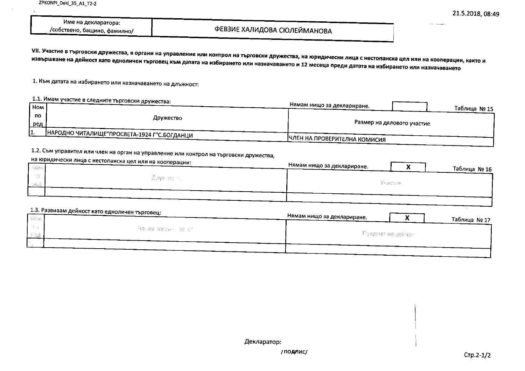| Име на декларатора:         |  |
|-----------------------------|--|
| собствено, бащино, фамилно/ |  |

### ФЕВЗИЕ ХАЛИДОВА СЮЛЕЙМАНОВА

VII. Участие в търговски дружества, в органи на управление или контрол на търговски дружества, на юридически лица с нестопанска цел или на кооперации, както и извършване на дейност като едноличен търговец към датата на избирането или назначаването и 12 месеца преди датата на избирането или назначаването

1. Към датата на избирането или назначаването на длъжност:

#### 1.1. Имам участие в следните търговски дружества: Нямам нищо за деклариране. **Hom** Таблица № 15 no Дружество Размер на дяловото участие ред НАРОДНО ЧИТАЛИЩЕ"ПРОСВЕТА-1924 Г"С.БОГДАНЦИ  $\overline{1}$ ЧЛЕН НА ПРОВЕРИТЕЛНА КОМИСИЯ

## 1.2. Съм управител или член на орган на управление или контрол на търговски дружества,

| <b>Bigas</b> | на юридически лица с нестопанска цел или на кооперации: | Нямам нищо за деклариране.<br>Таблица № 16 |
|--------------|---------------------------------------------------------|--------------------------------------------|
| プチ合い         | - 高速線 みんかん                                              | Участие:                                   |
|              |                                                         |                                            |

| 1.3. Развивам дейност като едноличен търговец:<br>l h€w | Нямам нищо за деклариране.<br>Таблица № 17 |
|---------------------------------------------------------|--------------------------------------------|
| - No ave toberato av 31 -                               | — Пред⊱хет на дейчкитт                     |
|                                                         |                                            |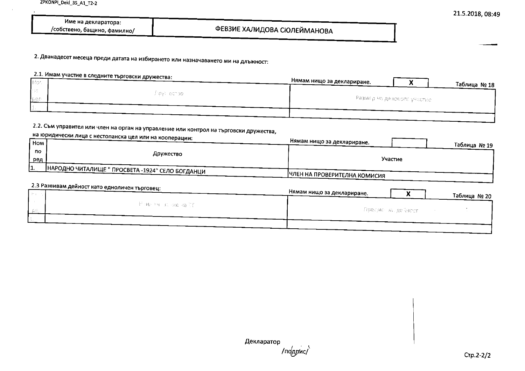| Име на декларатора:         |  |
|-----------------------------|--|
| собствено, бащино, фамилно/ |  |

2. Дванадесет месеца преди датата на избирането или назначаването ми на длъжност:

### 2.1. Имам участие в следните търговски дружества:

| 非常のな         | .            | Нямам нищо за деклариране. |                             | Таблица № 18 |
|--------------|--------------|----------------------------|-----------------------------|--------------|
|              | Figyi echsol |                            |                             |              |
| <b>I</b> pes |              |                            | Разилер на джирерто участве |              |
|              |              |                            |                             |              |

## 2.2. Съм управител или член на орган на управление или контрол на търговски дружества,

| $\sqrt{\frac{1}{2}}$ |           | на юридически лица с нестопанска цел или на кооперации: | Нямам нищо за деклариране.   |
|----------------------|-----------|---------------------------------------------------------|------------------------------|
|                      |           |                                                         | Таблица № 19                 |
|                      | <b>no</b> | Дружество                                               | Участие                      |
| <u>ред</u>           |           |                                                         |                              |
|                      |           | НАРОДНО ЧИТАЛИЩЕ " ПРОСВЕТА -1924" СЕЛО БОГДАНЦИ        |                              |
|                      |           |                                                         | ЧЛЕН НА ПРОВЕРИТЕЛНА КОМИСИЯ |
|                      |           | $2.3$ Passusam nouver uses as $-$                       |                              |

| да называм дейност като едноличен търговец: | Нямам нищо за деклариране. |                        | Таблица № 20 |
|---------------------------------------------|----------------------------|------------------------|--------------|
| — Мамеринска нив на Срп                     |                            | — Пресмет на дейнест — |              |
|                                             |                            |                        |              |
|                                             |                            |                        |              |

Декларатор /подпис/